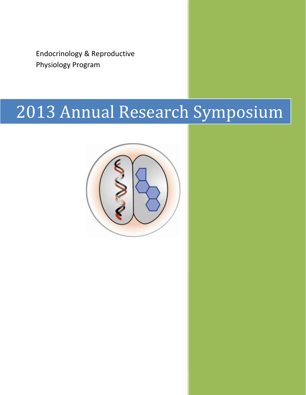Endocrinology & Reproductive Physiology Program

# 2013 Annual Research Symposium

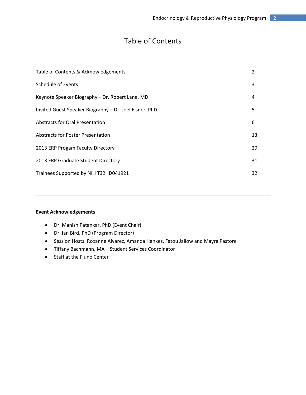### Table of Contents

| Table of Contents & Acknowledgements                   | 2  |
|--------------------------------------------------------|----|
| Schedule of Events                                     | 3  |
| Keynote Speaker Biography - Dr. Robert Lane, MD        | 4  |
| Invited Guest Speaker Biography - Dr. Joel Eisner, PhD | 5  |
| Abstracts for Oral Presentation                        | 6  |
| Abstracts for Poster Presentation                      | 13 |
| 2013 ERP Progam Faculty Directory                      | 29 |
| 2013 ERP Graduate Student Directory                    | 31 |
| Trainees Supported by NIH T32HD041921                  | 32 |

#### **Event Acknowledgements**

- Dr. Manish Patankar, PhD (Event Chair)
- Dr. Ian Bird, PhD (Program Director)
- Session Hosts: Roxanne Alvarez, Amanda Hankes, Fatou Jallow and Mayra Pastore
- Tiffany Bachmann, MA Student Services Coordinator
- Staff at the Fluno Center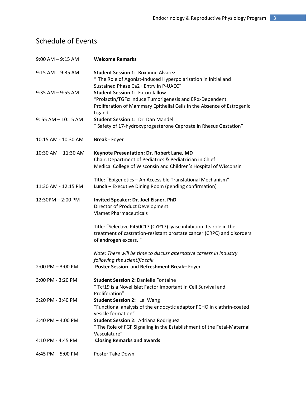# Schedule of Events

| $9:00$ AM $-9:15$ AM   | <b>Welcome Remarks</b>                                                                                                                                                               |
|------------------------|--------------------------------------------------------------------------------------------------------------------------------------------------------------------------------------|
| 9:15 AM - 9:35 AM      | <b>Student Session 1: Roxanne Alvarez</b><br>" The Role of Agonist-Induced Hyperpolarization in Initial and<br>Sustained Phase Ca2+ Entry in P-UAEC"                                 |
| $9:35$ AM $-9:55$ AM   | <b>Student Session 1: Fatou Jallow</b><br>"Prolactin/TGFα Induce Tumorigenesis and ERα-Dependent<br>Proliferation of Mammary Epithelial Cells in the Absence of Estrogenic<br>Ligand |
| $9:55$ AM $- 10:15$ AM | Student Session 1: Dr. Dan Mandel<br>" Safety of 17-hydroxyprogesterone Caproate in Rhesus Gestation"                                                                                |
| 10:15 AM - 10:30 AM    | <b>Break</b> - Foyer                                                                                                                                                                 |
| 10:30 AM - 11:30 AM    | Keynote Presentation: Dr. Robert Lane, MD<br>Chair, Department of Pediatrics & Pediatrician in Chief<br>Medical College of Wisconsin and Children's Hospital of Wisconsin            |
| 11:30 AM - 12:15 PM    | Title: "Epigenetics - An Accessible Translational Mechanism"<br>Lunch - Executive Dining Room (pending confirmation)                                                                 |
| 12:30PM - 2:00 PM      | Invited Speaker: Dr. Joel Eisner, PhD<br>Director of Product Development<br><b>Viamet Pharmaceuticals</b>                                                                            |
|                        | Title: "Selective P450C17 (CYP17) lyase inhibition: Its role in the<br>treatment of castration-resistant prostate cancer (CRPC) and disorders<br>of androgen excess. "               |
|                        | Note: There will be time to discuss alternative careers in industry<br>following the scientific talk                                                                                 |
| $2:00$ PM $-3:00$ PM   | Poster Session and Refreshment Break-Foyer                                                                                                                                           |
| 3:00 PM - 3:20 PM      | <b>Student Session 2: Danielle Fontaine</b><br>"Tcf19 is a Novel Islet Factor Important in Cell Survival and<br>Proliferation"                                                       |
| 3:20 PM - 3:40 PM      | Student Session 2: Lei Wang<br>"Functional analysis of the endocytic adaptor FCHO in clathrin-coated<br>vesicle formation"                                                           |
| $3:40$ PM $- 4:00$ PM  | <b>Student Session 2: Adriana Rodriguez</b><br>" The Role of FGF Signaling in the Establishment of the Fetal-Maternal<br>Vasculature"                                                |
| 4:10 PM - 4:45 PM      | <b>Closing Remarks and awards</b>                                                                                                                                                    |
| 4:45 PM $-$ 5:00 PM    | Poster Take Down                                                                                                                                                                     |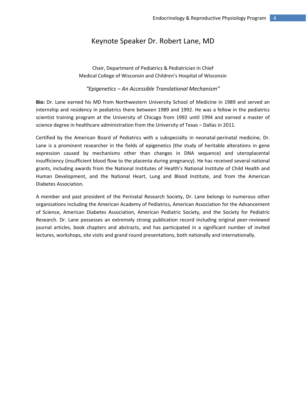#### Keynote Speaker Dr. Robert Lane, MD

Chair, Department of Pediatrics & Pediatrician in Chief Medical College of Wisconsin and Children's Hospital of Wisconsin

*"Epigenetics – An Accessible Translational Mechanism"*

**Bio:** Dr. Lane earned his MD from Northwestern University School of Medicine in 1989 and served an internship and residency in pediatrics there between 1989 and 1992. He was a fellow in the pediatrics scientist training program at the University of Chicago from 1992 until 1994 and earned a master of science degree in healthcare administration from the University of Texas – Dallas in 2011.

Certified by the American Board of Pediatrics with a subspecialty in neonatal‐perinatal medicine, Dr. Lane is a prominent researcher in the fields of epigenetics (the study of heritable alterations in gene expression caused by mechanisms other than changes in DNA sequence) and uteroplacental insufficiency (insufficient blood flow to the placenta during pregnancy). He has received several national grants, including awards from the National Institutes of Health's National Institute of Child Health and Human Development, and the National Heart, Lung and Blood Institute, and from the American Diabetes Association.

A member and past president of the Perinatal Research Society, Dr. Lane belongs to numerous other organizations including the American Academy of Pediatrics, American Association for the Advancement of Science, American Diabetes Association, American Pediatric Society, and the Society for Pediatric Research. Dr. Lane possesses an extremely strong publication record including original peer‐reviewed journal articles, book chapters and abstracts, and has participated in a significant number of invited lectures, workshops, site visits and grand round presentations, both nationally and internationally.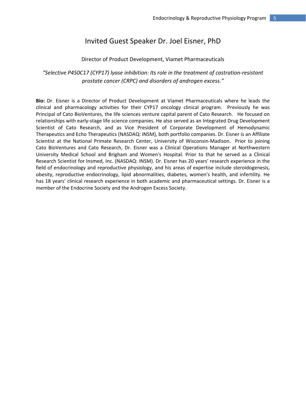#### Invited Guest Speaker Dr. Joel Eisner, PhD

#### Director of Product Development, Viamet Pharmaceuticals

*"Selective P450C17 (CYP17) lyase inhibition: Its role in the treatment of castration‐resistant prostate cancer (CRPC) and disorders of androgen excess."*

**Bio:** Dr. Eisner is a Director of Product Development at Viamet Pharmaceuticals where he leads the clinical and pharmacology activities for their CYP17 oncology clinical program. Previously he was Principal of Cato BioVentures, the life sciences venture capital parent of Cato Research. He focused on relationships with early‐stage life science companies. He also served as an Integrated Drug Development Scientist of Cato Research, and as Vice President of Corporate Development of Hemodynamic Therapeutics and Echo Therapeutics (NASDAQ: INSM), both portfolio companies. Dr. Eisner is an Affiliate Scientist at the National Primate Research Center, University of Wisconsin-Madison. Prior to joining Cato BioVentures and Cato Research, Dr. Eisner was a Clinical Operations Manager at Northwestern University Medical School and Brigham and Women's Hospital. Prior to that he served as a Clinical Research Scientist for Insmed, Inc. (NASDAQ: INSM). Dr. Eisner has 20 years' research experience in the field of endocrinology and reproductive physiology, and his areas of expertise include steroidogenesis, obesity, reproductive endocrinology, lipid abnormalities, diabetes, women's health, and infertility. He has 18 years' clinical research experience in both academic and pharmaceutical settings. Dr. Eisner is a member of the Endocrine Society and the Androgen Excess Society.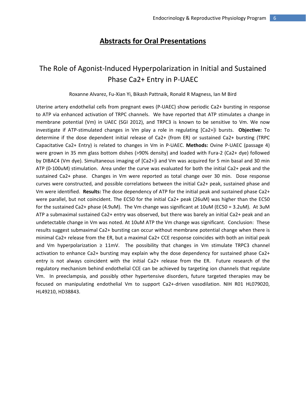### **Abstracts for Oral Presentations**

## The Role of Agonist‐Induced Hyperpolarization in Initial and Sustained Phase Ca2+ Entry in P‐UAEC

Roxanne Alvarez, Fu‐Xian Yi, Bikash Pattnaik, Ronald R Magness, Ian M Bird

Uterine artery endothelial cells from pregnant ewes (P-UAEC) show periodic Ca2+ bursting in response to ATP via enhanced activation of TRPC channels. We have reported that ATP stimulates a change in membrane potential (Vm) in UAEC (SGI 2012), and TRPC3 is known to be sensitive to Vm. We now investigate if ATP‐stimulated changes in Vm play a role in regulating [Ca2+]i bursts. **Objective:** To determine if the dose dependent initial release of Ca2+ (from ER) or sustained Ca2+ bursting (TRPC Capacitative Ca2+ Entry) is related to changes in Vm in P‐UAEC. **Methods:** Ovine P‐UAEC (passage 4) were grown in 35 mm glass bottom dishes (>90% density) and loaded with Fura-2 (Ca2+ dye) followed by DIBAC4 (Vm dye). Simultaneous imaging of [Ca2+]i and Vm was acquired for 5 min basal and 30 min ATP (0‐100uM) stimulation. Area under the curve was evaluated for both the initial Ca2+ peak and the sustained Ca2+ phase. Changes in Vm were reported as total change over 30 min. Dose response curves were constructed, and possible correlations between the initial Ca2+ peak, sustained phase and Vm were identified. **Results:** The dose dependency of ATP for the initial peak and sustained phase Ca2+ were parallel, but not coincident. The EC50 for the initial Ca2+ peak (26uM) was higher than the EC50 for the sustained Ca2+ phase (4.9uM). The Vm change was significant at 10uM (EC50 = 3.2uM). At 3uM ATP a submaximal sustained Ca2+ entry was observed, but there was barely an initial Ca2+ peak and an undetectable change in Vm was noted. At 10uM ATP the Vm change was significant. Conclusion: These results suggest submaximal Ca2+ bursting can occur without membrane potential change when there is minimal Ca2+ release from the ER, but a maximal Ca2+ CCE response coincides with both an initial peak and Vm hyperpolarization  $\geq 11$ mV. The possibility that changes in Vm stimulate TRPC3 channel activation to enhance Ca2+ bursting may explain why the dose dependency for sustained phase Ca2+ entry is not always coincident with the initial Ca2+ release from the ER. Future research of the regulatory mechanism behind endothelial CCE can be achieved by targeting ion channels that regulate Vm. In preeclampsia, and possibly other hypertensive disorders, future targeted therapies may be focused on manipulating endothelial Vm to support Ca2+‐driven vasodilation. NIH R01 HL079020, HL49210, HD38843.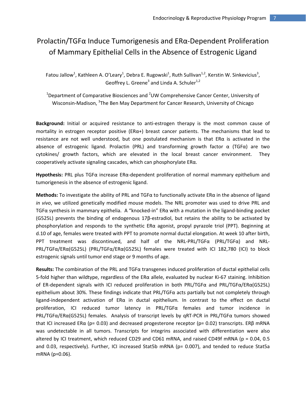### Prolactin/TGFα Induce Tumorigenesis and ERα‐Dependent Proliferation of Mammary Epithelial Cells in the Absence of Estrogenic Ligand

Fatou Jallow<sup>1</sup>, Kathleen A. O'Leary<sup>1</sup>, Debra E. Rugowski<sup>1</sup>, Ruth Sullivan<sup>1,2</sup>, Kerstin W. Sinkevicius<sup>3</sup>, Geoffrey L. Greene<sup>3</sup> and Linda A. Schuler<sup>1,2</sup>

<sup>1</sup>Department of Comparative Biosciences and <sup>2</sup>UW Comprehensive Cancer Center, University of Wisconsin-Madison, <sup>3</sup>The Ben May Department for Cancer Research, University of Chicago

Background: Initial or acquired resistance to anti-estrogen therapy is the most common cause of mortality in estrogen receptor positive ( $ER\alpha+$ ) breast cancer patients. The mechanisms that lead to resistance are not well understood, but one postulated mechanism is that ERα is activated in the absence of estrogenic ligand. Prolactin (PRL) and transforming growth factor  $\alpha$  (TGF $\alpha$ ) are two cytokines/ growth factors, which are elevated in the local breast cancer environment. They cooperatively activate signaling cascades, which can phosphorylate ERα.

**Hypothesis:** PRL plus TGFα increase ERα‐dependent proliferation of normal mammary epithelium and tumorigenesis in the absence of estrogenic ligand.

**Methods:** To investigate the ability of PRL and TGFα to functionally activate ERα in the absence of ligand *in vivo*, we utilized genetically modified mouse models. The NRL promoter was used to drive PRL and TGFα synthesis in mammary epithelia. A "knocked‐in" ERα with a mutation in the ligand‐binding pocket (G525L) prevents the binding of endogenous 17β‐estradiol, but retains the ability to be activated by phosphorylation and responds to the synthetic ERα agonist, propyl pyrazole triol (PPT). Beginning at d.10 of age, females were treated with PPT to promote normal ductal elongation. At week 10 after birth, PPT treatment was discontinued, and half of the NRL‐PRL/TGFα (PRL/TGFα) and NRL‐ PRL/TGFα/ERα(G525L) (PRL/TGFα/ERα(G525L) females were treated with ICI 182,780 (ICI) to block estrogenic signals until tumor end stage or 9 months of age.

**Results:** The combination of the PRL and TGFα transgenes induced proliferation of ductal epithelial cells 5‐fold higher than wildtype, regardless of the ERα allele, evaluated by nuclear Ki‐67 staining. Inhibition of ER‐dependent signals with ICI reduced proliferation in both PRL/TGFα and PRL/TGFα/ERα(G525L) epithelium about 30%. These findings indicate that PRL/TGF $\alpha$  acts partially but not completely through ligand‐independent activation of ERα in ductal epithelium*.* In contrast to the effect on ductal proliferation, ICI reduced tumor latency in PRL/TGFα females and tumor incidence in PRL/TGFα/ERα(G525L) females. Analysis of transcript levels by qRT‐PCR in PRL/TGFα tumors showed that ICI increased ER $\alpha$  (p= 0.03) and decreased progesterone receptor (p= 0.02) transcripts. ER $\beta$  mRNA was undetectable in all tumors. Transcripts for integrins associated with differentiation were also altered by ICI treatment, which reduced CD29 and CD61 mRNA, and raised CD49f mRNA (p = 0.04, 0.5 and 0.03, respectively). Further, ICI increased Stat5b mRNA (p= 0.007), and tended to reduce Stat5a mRNA (p=0.06).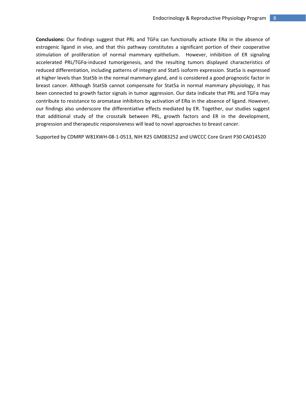**Conclusions:** Our findings suggest that PRL and TGFα can functionally activate ERα in the absence of estrogenic ligand *in vivo*, and that this pathway constitutes a significant portion of their cooperative stimulation of proliferation of normal mammary epithelium. However, inhibition of ER signaling accelerated PRL/TGFα‐induced tumorigenesis, and the resulting tumors displayed characteristics of reduced differentiation, including patterns of integrin and Stat5 isoform expression. Stat5a is expressed at higher levels than Stat5b in the normal mammary gland, and is considered a good prognostic factor in breast cancer. Although Stat5b cannot compensate for Stat5a in normal mammary physiology, it has been connected to growth factor signals in tumor aggression. Our data indicate that PRL and TGFα may contribute to resistance to aromatase inhibitors by activation of  $ER\alpha$  in the absence of ligand. However, our findings also underscore the differentiative effects mediated by ER. Together, our studies suggest that additional study of the crosstalk between PRL, growth factors and ER in the development, progression and therapeutic responsiveness will lead to novel approaches to breast cancer.

Supported by CDMRP W81XWH‐08‐1‐0513, NIH R25 GM083252 and UWCCC Core Grant P30 CA014520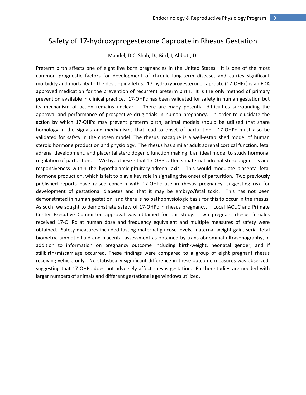### Safety of 17‐hydroxyprogesterone Caproate in Rhesus Gestation

Mandel, D.C, Shah, D., Bird, I, Abbott, D.

Preterm birth affects one of eight live born pregnancies in the United States. It is one of the most common prognostic factors for development of chronic long-term disease, and carries significant morbidity and mortality to the developing fetus. 17‐hydroxyprogesterone caproate (17‐OHPc) is an FDA approved medication for the prevention of recurrent preterm birth. It is the only method of primary prevention available in clinical practice. 17‐OHPc has been validated for safety in human gestation but its mechanism of action remains unclear. There are many potential difficulties surrounding the approval and performance of prospective drug trials in human pregnancy. In order to elucidate the action by which 17‐OHPc may prevent preterm birth, animal models should be utilized that share homology in the signals and mechanisms that lead to onset of parturition. 17-OHPc must also be validated for safety in the chosen model. The rhesus macaque is a well-established model of human steroid hormone production and physiology. The rhesus has similar adult adrenal cortical function, fetal adrenal development, and placental steroidogenic function making it an ideal model to study hormonal regulation of parturition. We hypothesize that 17‐OHPc affects maternal adrenal steroidogenesis and responsiveness within the hypothalamic-pituitary-adrenal axis. This would modulate placental-fetal hormone production, which is felt to play a key role in signaling the onset of parturition. Two previously published reports have raised concern with 17‐OHPc use in rhesus pregnancy, suggesting risk for development of gestational diabetes and that it may be embryo/fetal toxic. This has not been demonstrated in human gestation, and there is no pathophysiologic basis for this to occur in the rhesus. As such, we sought to demonstrate safety of 17-OHPc in rhesus pregnancy. Local IACUC and Primate Center Executive Committee approval was obtained for our study. Two pregnant rhesus females received 17‐OHPc at human dose and frequency equivalent and multiple measures of safety were obtained. Safety measures included fasting maternal glucose levels, maternal weight gain, serial fetal biometry, amniotic fluid and placental assessment as obtained by trans‐abdominal ultrasonography, in addition to information on pregnancy outcome including birth‐weight, neonatal gender, and if stillbirth/miscarriage occurred. These findings were compared to a group of eight pregnant rhesus receiving vehicle only. No statistically significant difference in these outcome measures was observed, suggesting that 17‐OHPc does not adversely affect rhesus gestation. Further studies are needed with larger numbers of animals and different gestational age windows utilized.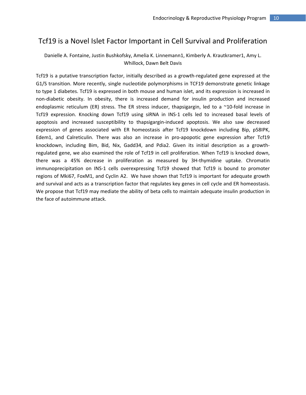### Tcf19 is a Novel Islet Factor Important in Cell Survival and Proliferation

#### Danielle A. Fontaine, Justin Bushkofsky, Amelia K. Linnemann1, Kimberly A. Krautkramer1, Amy L. Whillock, Dawn Belt Davis

Tcf19 is a putative transcription factor, initially described as a growth‐regulated gene expressed at the G1/S transition. More recently, single nucleotide polymorphisms in TCF19 demonstrate genetic linkage to type 1 diabetes. Tcf19 is expressed in both mouse and human islet, and its expression is increased in non‐diabetic obesity. In obesity, there is increased demand for insulin production and increased endoplasmic reticulum (ER) stress. The ER stress inducer, thapsigargin, led to a ~10-fold increase in Tcf19 expression. Knocking down Tcf19 using siRNA in INS‐1 cells led to increased basal levels of apoptosis and increased susceptibility to thapsigargin‐induced apoptosis. We also saw decreased expression of genes associated with ER homeostasis after Tcf19 knockdown including Bip, p58IPK, Edem1, and Calreticulin. There was also an increase in pro-apopotic gene expression after Tcf19 knockdown, including Bim, Bid, Nix, Gadd34, and Pdia2. Given its initial description as a growth‐ regulated gene, we also examined the role of Tcf19 in cell proliferation. When Tcf19 is knocked down, there was a 45% decrease in proliferation as measured by 3H‐thymidine uptake. Chromatin immunoprecipitation on INS‐1 cells overexpressing Tcf19 showed that Tcf19 is bound to promoter regions of Mki67, FoxM1, and Cyclin A2. We have shown that Tcf19 is important for adequate growth and survival and acts as a transcription factor that regulates key genes in cell cycle and ER homeostasis. We propose that Tcf19 may mediate the ability of beta cells to maintain adequate insulin production in the face of autoimmune attack.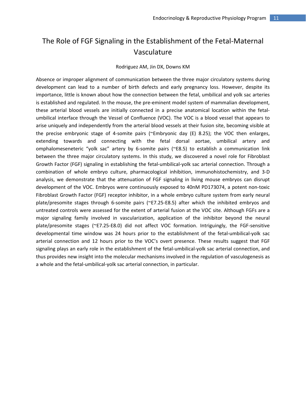### The Role of FGF Signaling in the Establishment of the Fetal‐Maternal Vasculature

#### Rodriguez AM, Jin DX, Downs KM

Absence or improper alignment of communication between the three major circulatory systems during development can lead to a number of birth defects and early pregnancy loss. However, despite its importance, little is known about how the connection between the fetal, umbilical and yolk sac arteries is established and regulated. In the mouse, the pre-eminent model system of mammalian development, these arterial blood vessels are initially connected in a precise anatomical location within the fetal‐ umbilical interface through the Vessel of Confluence (VOC). The VOC is a blood vessel that appears to arise uniquely and independently from the arterial blood vessels at their fusion site, becoming visible at the precise embryonic stage of 4‐somite pairs (~Embryonic day (E) 8.25); the VOC then enlarges, extending towards and connecting with the fetal dorsal aortae, umbilical artery and omphalomeseneteric "yolk sac" artery by 6‐somite pairs (~E8.5) to establish a communication link between the three major circulatory systems. In this study, we discovered a novel role for Fibroblast Growth Factor (FGF) signaling in establishing the fetal‐umbilical‐yolk sac arterial connection. Through a combination of whole embryo culture, pharmacological inhibition, immunohistochemistry, and 3‐D analysis, we demonstrate that the attenuation of FGF signaling in living mouse embryos can disrupt development of the VOC. Embryos were continuously exposed to 40nM PD173074, a potent non‐toxic Fibroblast Growth Factor (FGF) receptor inhibitor, in a whole embryo culture system from early neural plate/presomite stages through 6‐somite pairs (~E7.25‐E8.5) after which the inhibited embryos and untreated controls were assessed for the extent of arterial fusion at the VOC site. Although FGFs are a major signaling family involved in vascularization, application of the inhibitor beyond the neural plate/presomite stages (~E7.25-E8.0) did not affect VOC formation. Intriguingly, the FGF-sensitive developmental time window was 24 hours prior to the establishment of the fetal-umbilical-yolk sac arterial connection and 12 hours prior to the VOC's overt presence. These results suggest that FGF signaling plays an early role in the establishment of the fetal-umbilical-yolk sac arterial connection, and thus provides new insight into the molecular mechanisms involved in the regulation of vasculogenesis as a whole and the fetal‐umbilical‐yolk sac arterial connection, in particular.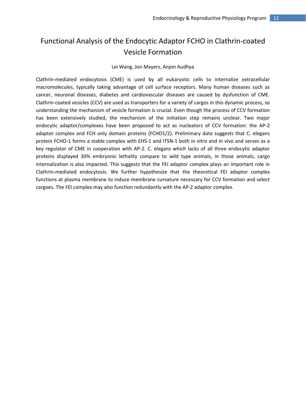### Functional Analysis of the Endocytic Adaptor FCHO in Clathrin‐coated Vesicle Formation

#### Lei Wang, Jon Mayers, Anjon Audhya

Clathrin‐mediated endocytosis (CME) is used by all eukaryotic cells to internalize extracellular macromolecules, typically taking advantage of cell surface receptors. Many human diseases such as cancer, neuronal diseases, diabetes and cardiovascular diseases are caused by dysfunction of CME. Clathrin‐coated vesicles (CCV) are used as transporters for a variety of cargos in this dynamic process, so understanding the mechanism of vesicle formation is crucial. Even though the process of CCV formation has been extensively studied, the mechanism of the initiation step remains unclear. Two major endocytic adaptor/complexes have been proposed to act as nucleators of CCV formation: the AP‐2 adaptor complex and FCH only domain proteins (FCHO1/2). Preliminary data suggests that C. elegans protein FCHO-1 forms a stable complex with EHS-1 and ITSN-1 both in vitro and in vivo and serves as a key regulator of CME in cooperation with AP-2. C. elegans which lacks of all three endocytic adaptor proteins displayed 30% embryonic lethality compare to wild type animals, in those animals, cargo internalization is also impacted. This suggests that the FEI adaptor complex plays an important role in Clathrin‐mediated endocytosis. We further hypothesize that the theoretical FEI adaptor complex functions at plasma membrane to induce membrane curvature necessary for CCV formation and select cargoes. The FEI complex may also function redundantly with the AP‐2 adaptor complex.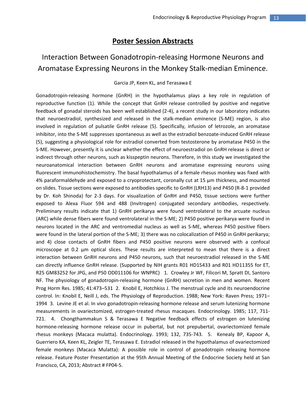#### **Poster Session Abstracts**

### Interaction Between Gonadotropin‐releasing Hormone Neurons and Aromatase Expressing Neurons in the Monkey Stalk‐median Eminence.

#### Garcia JP, Keen KL, and Terasawa E

Gonadotropin‐releasing hormone (GnRH) in the hypothalamus plays a key role in regulation of reproductive function (1). While the concept that GnRH release controlled by positive and negative feedback of gonadal steroids has been well established (2‐4), a recent study in our laboratory indicates that neuroestradiol, synthesized and released in the stalk‐median eminence (S‐ME) region, is also involved in regulation of pulsatile GnRH release (5). Specifically, infusion of letrozole, an aromatase inhibitor, into the S‐ME suppresses spontaneous as well as the estradiol benzoate‐induced GnRH release (5), suggesting a physiological role for estradiol converted from testosterone by aromatase P450 in the S‐ME. However, presently it is unclear whether the effect of neuroestradiol on GnRH release is direct or indirect through other neurons, such as kisspeptin neurons. Therefore, in this study we investigated the neuroanatomical interaction between GnRH neurons and aromatase expressing neurons using fluorescent immunohistochemistry. The basal hypothalamus of a female rhesus monkey was fixed with 4% paraformaldehyde and exposed to a cryoprotectant, coronally cut at 15 µm thickness, and mounted on slides. Tissue sections were exposed to antibodies specific to GnRH (LRH13) and P450 (R‐8‐1 provided by Dr. Koh Shinoda) for 2‐3 days. For visualization of GnRH and P450, tissue sections were further exposed to Alexa Fluor 594 and 488 (Invitrogen) conjugated secondary antibodies, respectively. Preliminary results indicate that 1) GnRH perikarya were found ventrolateral to the arcuate nucleus (ARC) while dense fibers were found ventrolateral in the S‐ME; 2) P450 positive perikarya were found in neurons located in the ARC and ventromedial nucleus as well as S‐ME, whereas P450 positive fibers were found in the lateral portion of the S-ME; 3) there was no colocalization of P450 in GnRH perikarya; and 4) close contacts of GnRH fibers and P450 positive neurons were observed with a confocal microscope at 0.2 µm optical slices. These results are interpreted to mean that there is a direct interaction between GnRH neurons and P450 neurons, such that neuroestradiol released in the S‐ME can directly influence GnRH release. (Supported by NIH grants R01 HD15433 and R01 HD11355 for ET, R25 GM83252 for JPG, and P50 OD011106 for WNPRC) 1. Crowley Jr WF, Filicori M, Spratt DI, Santoro NF. The physiology of gonadotropin‐releasing hormone (GnRH) secretion in men and women. Recent Prog Horm Res. 1985; 41:473–531 2. Knobil E, Hotchkiss J. The menstrual cycle and its neuroendocrine control. In: Knobil E, Neill J, eds. The Physiology of Reproduction. 1988; New York: Raven Press; 1971– 1994 3. Levine JE et al. In vivo gonadotropin‐releasing hormone release and serum lutenizing hormone measurements in ovariectomized, estrogen‐treated rhesus macaques. Endocrinology. 1985; 117, 711‐ 721. 4. Chongthammakun S & Terasawa E Negative feedback effects of estrogen on lutenizing hormone-releasing hormone release occur in pubertal, but not prepubertal, ovariectomized female rhesus monkeys (Macaca mulatta). Endocrinology. 1993; 132, 735-743. 5. Kenealy BP, Kapoor A, Guerriero KA, Keen KL, Zeigler TE, Terasawa E. Estradiol released in the hypothalamus of ovariectomized female monkeys (Macaca Mulatta): A possible role in control of gonadotropin releasing hormone release. Feature Poster Presentation at the 95th Annual Meeting of the Endocrine Society held at San Francisco, CA, 2013; Abstract # FP04‐5.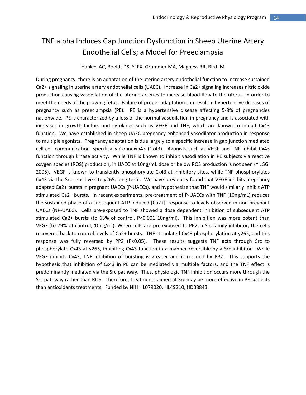### TNF alpha Induces Gap Junction Dysfunction in Sheep Uterine Artery Endothelial Cells; a Model for Preeclampsia

#### Hankes AC, Boeldt DS, Yi FX, Grummer MA, Magness RR, Bird IM

During pregnancy, there is an adaptation of the uterine artery endothelial function to increase sustained Ca2+ signaling in uterine artery endothelial cells (UAEC). Increase in Ca2+ signaling increases nitric oxide production causing vasodilation of the uterine arteries to increase blood flow to the uterus, in order to meet the needs of the growing fetus. Failure of proper adaptation can result in hypertensive diseases of pregnancy such as preeclampsia (PE). PE is a hypertensive disease affecting 5-8% of pregnancies nationwide. PE is characterized by a loss of the normal vasodilation in pregnancy and is associated with increases in growth factors and cytokines such as VEGF and TNF, which are known to inhibit Cx43 function. We have established in sheep UAEC pregnancy enhanced vasodilator production in response to multiple agonists. Pregnancy adaptation is due largely to a specific increase in gap junction mediated cell-cell communication, specifically Connexin43 (Cx43). Agonists such as VEGF and TNF inhibit Cx43 function through kinase activity. While TNF is known to inhibit vasodilation in PE subjects via reactive oxygen species (ROS) production, in UAEC at 10ng/mL dose or below ROS production is not seen (Yi, SGI 2005). VEGF is known to transiently phosphorylate Cx43 at inhibitory sites, while TNF phosphorylates Cx43 via the Src sensitive site y265, long‐term. We have previously found that VEGF inhibits pregnancy adapted Ca2+ bursts in pregnant UAECs (P-UAECs), and hypothesize that TNF would similarly inhibit ATP stimulated Ca2+ bursts. In recent experiments, pre-treatment of P-UAECs with TNF (10ng/mL) reduces the sustained phase of a subsequent ATP induced [Ca2+]i response to levels observed in non-pregnant UAECs (NP‐UAEC). Cells pre‐exposed to TNF showed a dose dependent inhibition of subsequent ATP stimulated Ca2+ bursts (to 63% of control, P<0.001 10ng/ml). This inhibition was more potent than VEGF (to 79% of control, 10ng/ml). When cells are pre‐exposed to PP2, a Src family inhibitor, the cells recovered back to control levels of Ca2+ bursts. TNF stimulated Cx43 phosphorylation at y265, and this response was fully reversed by PP2 (P<0.05). These results suggests TNF acts through Src to phosphorylate Cx43 at y265, inhibiting Cx43 function in a manner reversible by a Src inhibitor. While VEGF inhibits Cx43, TNF inhibition of bursting is greater and is rescued by PP2. This supports the hypothesis that inhibition of Cx43 in PE can be mediated via multiple factors, and the TNF effect is predominantly mediated via the Src pathway. Thus, physiologic TNF inhibition occurs more through the Src pathway rather than ROS. Therefore, treatments aimed at Src may be more effective in PE subjects than antioxidants treatments. Funded by NIH HL079020, HL49210, HD38843.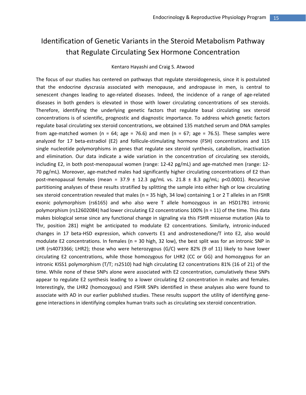### Identification of Genetic Variants in the Steroid Metabolism Pathway that Regulate Circulating Sex Hormone Concentration

#### Kentaro Hayashi and Craig S. Atwood

The focus of our studies has centered on pathways that regulate steroidogenesis, since it is postulated that the endocrine dyscrasia associated with menopause, and andropause in men, is central to senescent changes leading to age-related diseases. Indeed, the incidence of a range of age-related diseases in both genders is elevated in those with lower circulating concentrations of sex steroids. Therefore, identifying the underlying genetic factors that regulate basal circulating sex steroid concentrations is of scientific, prognostic and diagnostic importance. To address which genetic factors regulate basal circulating sex steroid concentrations, we obtained 135 matched serum and DNA samples from age-matched women (n = 64; age = 76.6) and men (n = 67; age = 76.5). These samples were analyzed for 17 beta-estradiol (E2) and follicule-stimulating hormone (FSH) concentrations and 115 single nucleotide polymorphisms in genes that regulate sex steroid synthesis, catabolism, inactivation and elimination. Our data indicate a wide variation in the concentration of circulating sex steroids, including E2, in both post-menopausal women (range: 12-42 pg/mL) and age-matched men (range: 12-70 pg/mL). Moreover, age‐matched males had significantly higher circulating concentrations of E2 than post-menopausal females (mean =  $37.9 \pm 12.3$  pg/mL vs.  $21.8 \pm 8.3$  pg/mL; p<0.0001). Recursive partitioning analyses of these results stratified by splitting the sample into either high or low circulating sex steroid concentration revealed that males (n = 35 high, 34 low) containing 1 or 2 T alleles in an FSHR exonic polymorphism (rs6165) and who also were T allele homozygous in an HSD17B1 intronic polymorphism (rs12602084) had lower circulating E2 concentrations 100% (n = 11) of the time. This data makes biological sense since any functional change in signaling via this FSHR missense mutation (Ala to Thr, position 281) might be anticipated to modulate E2 concentrations. Similarly, intronic-induced changes in 17 beta‐HSD expression, which converts E1 and androstenedione/T into E2, also would modulate E2 concentrations. In females (n = 30 high, 32 low), the best split was for an intronic SNP in LHR (rs4073366; LHR2); those who were heterozygous (G/C) were 82% (9 of 11) likely to have lower circulating E2 concentrations, while those homozygous for LHR2 (CC or GG) and homozygous for an intronic KISS1 polymorphism (T/T; rs2510) had high circulating E2 concentrations 81% (16 of 21) of the time. While none of these SNPs alone were associated with E2 concentration, cumulatively these SNPs appear to regulate E2 synthesis leading to a lower circulating E2 concentration in males and females. Interestingly, the LHR2 (homozygous) and FSHR SNPs identified in these analyses also were found to associate with AD in our earlier published studies. These results support the utility of identifying gene‐ gene interactions in identifying complex human traits such as circulating sex steroid concentration.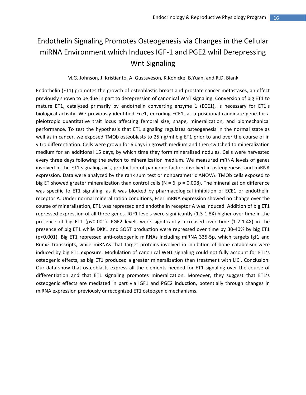# Endothelin Signaling Promotes Osteogenesis via Changes in the Cellular miRNA Environment which Induces IGF‐1 and PGE2 whil Derepressing Wnt Signaling

#### M.G. Johnson, J. Kristianto, A. Gustaveson, K.Konicke, B.Yuan, and R.D. Blank

Endothelin (ET1) promotes the growth of osteoblastic breast and prostate cancer metastases, an effect previously shown to be due in part to derepression of canonical WNT signaling. Conversion of big ET1 to mature ET1, catalyzed primarily by endothelin converting enzyme 1 (ECE1), is necessary for ET1's biological activity. We previously identified Ece1, encoding ECE1, as a positional candidate gene for a pleiotropic quantitative trait locus affecting femoral size, shape, mineralization, and biomechanical performance. To test the hypothesis that ET1 signaling regulates osteogenesis in the normal state as well as in cancer, we exposed TMOb osteoblasts to 25 ng/ml big ET1 prior to and over the course of in vitro differentiation. Cells were grown for 6 days in growth medium and then switched to mineralization medium for an additional 15 days, by which time they form mineralized nodules. Cells were harvested every three days following the switch to mineralization medium. We measured mRNA levels of genes involved in the ET1 signaling axis, production of paracrine factors involved in osteogenesis, and miRNA expression. Data were analyzed by the rank sum test or nonparametric ANOVA. TMOb cells exposed to big ET showed greater mineralization than control cells ( $N = 6$ ,  $p = 0.008$ ). The mineralization difference was specific to ET1 signaling, as it was blocked by pharmacological inhibition of ECE1 or endothelin receptor A. Under normal mineralization conditions, Ece1 mRNA expression showed no change over the course of mineralization, ET1 was repressed and endothelin receptor A was induced. Addition of big ET1 repressed expression of all three genes. IGF1 levels were significantly (1.3-1.8X) higher over time in the presence of big ET1 (p<0.001). PGE2 levels were significantly increased over time (1.2‐1.4X) in the presence of big ET1 while DKK1 and SOST production were repressed over time by 30‐40% by big ET1 (p<0.001). Big ET1 repressed anti‐osteogenic miRNAs including miRNA 335‐5p, which targets Igf1 and Runx2 transcripts, while miRNAs that target proteins involved in inhibition of bone catabolism were induced by big ET1 exposure. Modulation of canonical WNT signaling could not fully account for ET1's osteogenic effects, as big ET1 produced a greater mineralization than treatment with LiCl. Conclusion: Our data show that osteoblasts express all the elements needed for ET1 signaling over the course of differentiation and that ET1 signaling promotes mineralization. Moreover, they suggest that ET1's osteogenic effects are mediated in part via IGF1 and PGE2 induction, potentially through changes in miRNA expression previously unrecognized ET1 osteogenic mechanisms.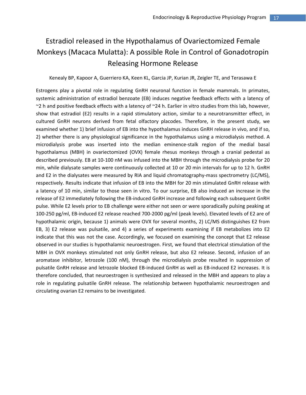# Estradiol released in the Hypothalamus of Ovariectomized Female Monkeys (Macaca Mulatta): A possible Role in Control of Gonadotropin Releasing Hormone Release

#### Kenealy BP, Kapoor A, Guerriero KA, Keen KL, Garcia JP, Kurian JR, Zeigler TE, and Terasawa E

Estrogens play a pivotal role in regulating GnRH neuronal function in female mammals. In primates, systemic administration of estradiol benzoate (EB) induces negative feedback effects with a latency of  $\sim$ 2 h and positive feedback effects with a latency of  $\sim$ 24 h. Earlier in vitro studies from this lab, however, show that estradiol (E2) results in a rapid stimulatory action, similar to a neurotransmitter effect, in cultured GnRH neurons derived from fetal olfactory placodes. Therefore, in the present study, we examined whether 1) brief infusion of EB into the hypothalamus induces GnRH release in vivo, and if so, 2) whether there is any physiological significance in the hypothalamus using a microdialysis method. A microdialysis probe was inserted into the median eminence‐stalk region of the medial basal hypothalamus (MBH) in ovariectomized (OVX) female rhesus monkeys through a cranial pedestal as described previously. EB at 10‐100 nM was infused into the MBH through the microdialysis probe for 20 min, while dialysate samples were continuously collected at 10 or 20 min intervals for up to 12 h. GnRH and E2 in the dialysates were measured by RIA and liquid chromatography-mass spectrometry (LC/MS), respectively. Results indicate that infusion of EB into the MBH for 20 min stimulated GnRH release with a latency of 10 min, similar to those seen in vitro. To our surprise, EB also induced an increase in the release of E2 immediately following the EB‐induced GnRH increase and following each subsequent GnRH pulse. While E2 levels prior to EB challenge were either not seen or were sporadically pulsing peaking at 100‐250 pg/ml, EB‐induced E2 release reached 700‐2000 pg/ml (peak levels). Elevated levels of E2 are of hypothalamic origin, because 1) animals were OVX for several months, 2) LC/MS distinguishes E2 from EB, 3) E2 release was pulsatile, and 4) a series of experiments examining if EB metabolizes into E2 indicate that this was not the case. Accordingly, we focused on examining the concept that E2 release observed in our studies is hypothalamic neuroestrogen. First, we found that electrical stimulation of the MBH in OVX monkeys stimulated not only GnRH release, but also E2 release. Second, infusion of an aromatase inhibitor, letrozole (100 nM), through the microdialysis probe resulted in suppression of pulsatile GnRH release and letrozole blocked EB‐induced GnRH as well as EB‐induced E2 increases. It is therefore concluded, that neuroestrogen is synthesized and released in the MBH and appears to play a role in regulating pulsatile GnRH release. The relationship between hypothalamic neuroestrogen and circulating ovarian E2 remains to be investigated.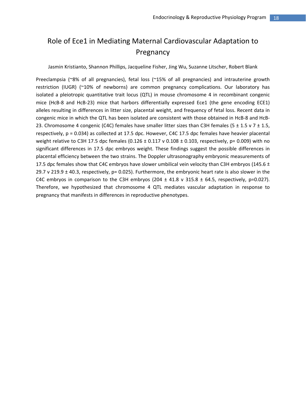### Role of Ece1 in Mediating Maternal Cardiovascular Adaptation to **Pregnancy**

Jasmin Kristianto, Shannon Phillips, Jacqueline Fisher, Jing Wu, Suzanne Litscher, Robert Blank

Preeclampsia (~8% of all pregnancies), fetal loss (~15% of all pregnancies) and intrauterine growth restriction (IUGR) (~10% of newborns) are common pregnancy complications. Our laboratory has isolated a pleiotropic quantitative trait locus (QTL) in mouse chromosome 4 in recombinant congenic mice (HcB‐8 and HcB‐23) mice that harbors differentially expressed Ece1 (the gene encoding ECE1) alleles resulting in differences in litter size, placental weight, and frequency of fetal loss. Recent data in congenic mice in which the QTL has been isolated are consistent with those obtained in HcB‐8 and HcB‐ 23. Chromosome 4 congenic (C4C) females have smaller litter sizes than C3H females (5  $\pm$  1.5 v 7  $\pm$  1.5, respectively, p = 0.034) as collected at 17.5 dpc. However, C4C 17.5 dpc females have heavier placental weight relative to C3H 17.5 dpc females (0.126  $\pm$  0.117 v 0.108  $\pm$  0.103, respectively, p= 0.009) with no significant differences in 17.5 dpc embryos weight. These findings suggest the possible differences in placental efficiency between the two strains. The Doppler ultrasonography embryonic measurements of 17.5 dpc females show that C4C embryos have slower umbilical vein velocity than C3H embryos (145.6  $\pm$ 29.7 v 219.9 ± 40.3, respectively, p= 0.025). Furthermore, the embryonic heart rate is also slower in the C4C embryos in comparison to the C3H embryos (204  $\pm$  41.8 v 315.8  $\pm$  64.5, respectively, p=0.027). Therefore, we hypothesized that chromosome 4 QTL mediates vascular adaptation in response to pregnancy that manifests in differences in reproductive phenotypes.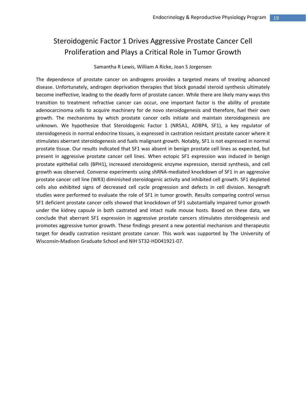## Steroidogenic Factor 1 Drives Aggressive Prostate Cancer Cell Proliferation and Plays a Critical Role in Tumor Growth

#### Samantha R Lewis, William A Ricke, Joan S Jorgensen

The dependence of prostate cancer on androgens provides a targeted means of treating advanced disease. Unfortunately, androgen deprivation therapies that block gonadal steroid synthesis ultimately become ineffective, leading to the deadly form of prostate cancer. While there are likely many ways this transition to treatment refractive cancer can occur, one important factor is the ability of prostate adenocarcinoma cells to acquire machinery for de novo steroidogenesis and therefore, fuel their own growth. The mechanisms by which prostate cancer cells initiate and maintain steroidogenesis are unknown. We hypothesize that Steroidogenic Factor 1 (NR5A1, ADBP4, SF1), a key regulator of steroidogenesis in normal endocrine tissues, is expressed in castration resistant prostate cancer where it stimulates aberrant steroidogenesis and fuels malignant growth. Notably, SF1 is not expressed in normal prostate tissue. Our results indicated that SF1 was absent in benign prostate cell lines as expected, but present in aggressive prostate cancer cell lines. When ectopic SF1 expression was induced in benign prostate epithelial cells (BPH1), increased steroidogenic enzyme expression, steroid synthesis, and cell growth was observed. Converse experiments using shRNA‐mediated knockdown of SF1 in an aggressive prostate cancer cell line (WR3) diminished steroidogenic activity and inhibited cell growth. SF1 depleted cells also exhibited signs of decreased cell cycle progression and defects in cell division. Xenograft studies were performed to evaluate the role of SF1 in tumor growth. Results comparing control versus SF1 deficient prostate cancer cells showed that knockdown of SF1 substantially impaired tumor growth under the kidney capsule in both castrated and intact nude mouse hosts. Based on these data, we conclude that aberrant SF1 expression in aggressive prostate cancers stimulates steroidogenesis and promotes aggressive tumor growth. These findings present a new potential mechanism and therapeutic target for deadly castration resistant prostate cancer. This work was supported by The University of Wisconsin‐Madison Graduate School and NIH 5T32‐HD041921‐07.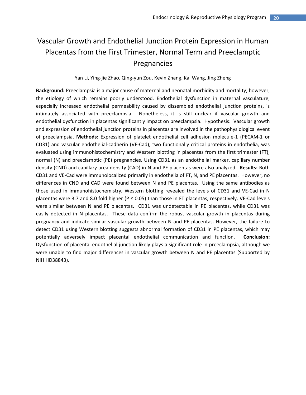# Vascular Growth and Endothelial Junction Protein Expression in Human Placentas from the First Trimester, Normal Term and Preeclamptic Pregnancies

#### Yan Li, Ying‐jie Zhao, Qing‐yun Zou, Kevin Zhang, Kai Wang, Jing Zheng

**Background:** Preeclampsia is a major cause of maternal and neonatal morbidity and mortality; however, the etiology of which remains poorly understood. Endothelial dysfunction in maternal vasculature, especially increased endothelial permeability caused by dissembled endothelial junction proteins, is intimately associated with preeclampsia. Nonetheless, it is still unclear if vascular growth and endothelial dysfunction in placentas significantly impact on preeclampsia. Hypothesis: Vascular growth and expression of endothelial junction proteins in placentas are involved in the pathophysiological event of preeclampsia. **Methods:** Expression of platelet endothelial cell adhesion molecule‐1 (PECAM‐1 or CD31) and vascular endothelial‐cadherin (VE‐Cad), two functionally critical proteins in endothelia, was evaluated using immunohistochemistry and Western blotting in placentas from the first trimester (FT), normal (N) and preeclamptic (PE) pregnancies. Using CD31 as an endothelial marker, capillary number density (CND) and capillary area density (CAD) in N and PE placentas were also analyzed. **Results:** Both CD31 and VE‐Cad were immunolocalized primarily in endothelia of FT, N, and PE placentas. However, no differences in CND and CAD were found between N and PE placentas. Using the same antibodies as those used in immunohistochemistry, Western blotting revealed the levels of CD31 and VE‐Cad in N placentas were 3.7 and 8.0 fold higher ( $P \le 0.05$ ) than those in FT placentas, respectively. VE-Cad levels were similar between N and PE placentas. CD31 was undetectable in PE placentas, while CD31 was easily detected in N placentas. These data confirm the robust vascular growth in placentas during pregnancy and indicate similar vascular growth between N and PE placentas. However, the failure to detect CD31 using Western blotting suggests abnormal formation of CD31 in PE placentas, which may potentially adversely impact placental endothelial communication and function. **Conclusion:** Dysfunction of placental endothelial junction likely plays a significant role in preeclampsia, although we were unable to find major differences in vascular growth between N and PE placentas (Supported by NIH HD38843).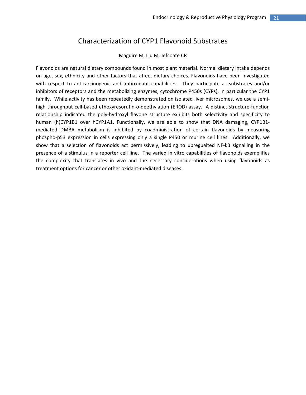### Characterization of CYP1 Flavonoid Substrates

#### Maguire M, Liu M, Jefcoate CR

Flavonoids are natural dietary compounds found in most plant material. Normal dietary intake depends on age, sex, ethnicity and other factors that affect dietary choices. Flavonoids have been investigated with respect to anticarcinogenic and antioxidant capabilities. They participate as substrates and/or inhibitors of receptors and the metabolizing enzymes, cytochrome P450s (CYPs), in particular the CYP1 family. While activity has been repeatedly demonstrated on isolated liver microsomes, we use a semihigh throughput cell-based ethoxyresorufin-o-deethylation (EROD) assay. A distinct structure-function relationship indicated the poly‐hydroxyl flavone structure exhibits both selectivity and specificity to human (h)CYP1B1 over hCYP1A1. Functionally, we are able to show that DNA damaging, CYP1B1mediated DMBA metabolism is inhibited by coadministration of certain flavonoids by measuring phospho‐p53 expression in cells expressing only a single P450 or murine cell lines. Additionally, we show that a selection of flavonoids act permissively, leading to upregualted NF‐kB signalling in the presence of a stimulus in a reporter cell line. The varied in vitro capabilities of flavonoids exemplifies the complexity that translates in vivo and the necessary considerations when using flavonoids as treatment options for cancer or other oxidant‐mediated diseases.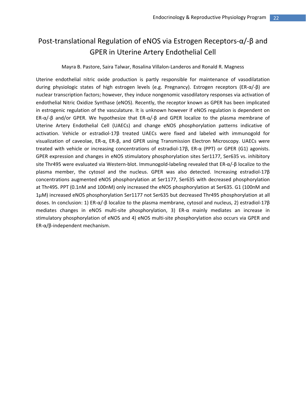### Post‐translational Regulation of eNOS via Estrogen Receptors‐α/‐β and GPER in Uterine Artery Endothelial Cell

#### Mayra B. Pastore, Saira Talwar, Rosalina Villalon‐Landeros and Ronald R. Magness

Uterine endothelial nitric oxide production is partly responsible for maintenance of vasodilatation during physiologic states of high estrogen levels (e.g. Pregnancy). Estrogen receptors (ER‐α/‐β) are nuclear transcription factors; however, they induce nongenomic vasodilatory responses via activation of endothelial Nitric Oxidize Synthase (eNOS). Recently, the receptor known as GPER has been implicated in estrogenic regulation of the vasculature. It is unknown however if eNOS regulation is dependent on ER‐α/‐β and/or GPER. We hypothesize that ER‐α/‐β and GPER localize to the plasma membrane of Uterine Artery Endothelial Cell (UAECs) and change eNOS phosphorylation patterns indicative of activation. Vehicle or estradiol‐17β treated UAECs were fixed and labeled with immunogold for visualization of caveolae, ER‐α, ER‐β, and GPER using Transmission Electron Microscopy. UAECs were treated with vehicle or increasing concentrations of estradiol‐17β, ER‐α (PPT) or GPER (G1) agonists. GPER expression and changes in eNOS stimulatory phosphorylation sites Ser1177, Ser635 vs. inhibitory site Thr495 were evaluated via Western‐blot. Immunogold‐labeling revealed that ER‐α/‐β localize to the plasma member, the cytosol and the nucleus. GPER was also detected. Increasing estradiol‐17β concentrations augmented eNOS phosphorylation at Ser1177, Ser635 with decreased phosphorylation at Thr495. PPT (0.1nM and 100nM) only increased the eNOS phosphorylation at Ser635. G1 (100nM and 1μM) increased eNOS phosphorylation Ser1177 not Ser635 but decreased Thr495 phosphorylation at all doses. In conclusion: 1) ER‐α/‐β localize to the plasma membrane, cytosol and nucleus, 2) estradiol‐17β mediates changes in eNOS multi-site phosphorylation, 3) ER- $\alpha$  mainly mediates an increase in stimulatory phosphorylation of eNOS and 4) eNOS multi‐site phosphorylation also occurs via GPER and ER‐α/β‐independent mechanism.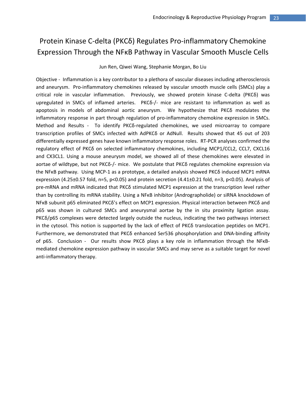### Protein Kinase C‐delta (PKCδ) Regulates Pro‐inflammatory Chemokine Expression Through the NFκB Pathway in Vascular Smooth Muscle Cells

Jun Ren, Qiwei Wang, Stephanie Morgan, Bo Liu

Objective ‐ Inflammation is a key contributor to a plethora of vascular diseases including atherosclerosis and aneurysm. Pro‐inflammatory chemokines released by vascular smooth muscle cells (SMCs) play a critical role in vascular inflammation. Previously, we showed protein kinase C‐delta (PKCδ) was upregulated in SMCs of inflamed arteries. PKCδ-/- mice are resistant to inflammation as well as apoptosis in models of abdominal aortic aneurysm. We hypothesize that PKCδ modulates the inflammatory response in part through regulation of pro‐inflammatory chemokine expression in SMCs. Method and Results - To identify PKCδ-regulated chemokines, we used microarray to compare transcription profiles of SMCs infected with AdPKCδ or AdNull. Results showed that 45 out of 203 differentially expressed genes have known inflammatory response roles. RT‐PCR analyses confirmed the regulatory effect of PKCδ on selected inflammatory chemokines, including MCP1/CCL2, CCL7, CXCL16 and CX3CL1. Using a mouse aneurysm model, we showed all of these chemokines were elevated in aortae of wildtype, but not PKCδ‐/‐ mice. We postulate that PKCδ regulates chemokine expression via the NFκB pathway. Using MCP‐1 as a prototype, a detailed analysis showed PKCδ induced MCP1 mRNA expression (4.25±0.57 fold, n=5, p<0.05) and protein secretion (4.41±0.21 fold, n=3, p<0.05). Analysis of pre‐mRNA and mRNA indicated that PKCδ stimulated MCP1 expression at the transcription level rather than by controlling its mRNA stability. Using a NFκB inhibitor (Andrographolide) or siRNA knockdown of NFκB subunit p65 eliminated PKCδ's effect on MCP1 expression. Physical interaction between PKCδ and p65 was shown in cultured SMCs and aneurysmal aortae by the in situ proximity ligation assay. PKC $\delta$ /p65 complexes were detected largely outside the nucleus, indicating the two pathways intersect in the cytosol. This notion is supported by the lack of effect of PKCδ translocation peptides on MCP1. Furthermore, we demonstrated that PKCδ enhanced Ser536 phosphorylation and DNA‐binding affinity of p65. Conclusion - Our results show PKCδ plays a key role in inflammation through the NFκBmediated chemokine expression pathway in vascular SMCs and may serve as a suitable target for novel anti‐inflammatory therapy.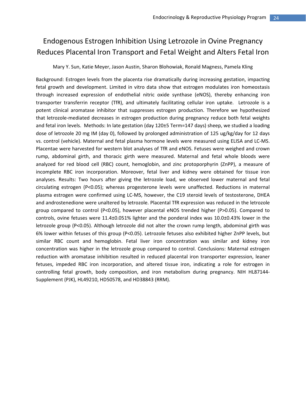### Endogenous Estrogen Inhibition Using Letrozole in Ovine Pregnancy Reduces Placental Iron Transport and Fetal Weight and Alters Fetal Iron

Mary Y. Sun, Katie Meyer, Jason Austin, Sharon Blohowiak, Ronald Magness, Pamela Kling

Background: Estrogen levels from the placenta rise dramatically during increasing gestation, impacting fetal growth and development. Limited in vitro data show that estrogen modulates iron homeostasis through increased expression of endothelial nitric oxide synthase (eNOS), thereby enhancing iron transporter transferrin receptor (TfR), and ultimately facilitating cellular iron uptake. Letrozole is a potent clinical aromatase inhibitor that suppresses estrogen production. Therefore we hypothesized that letrozole‐mediated decreases in estrogen production during pregnancy reduce both fetal weights and fetal iron levels. Methods: In late gestation (day 120±5 Term=147 days) sheep, we studied a loading dose of letrozole 20 mg IM (day 0), followed by prolonged administration of 125 ug/kg/day for 12 days vs. control (vehicle). Maternal and fetal plasma hormone levels were measured using ELISA and LC‐MS. Placentae were harvested for western blot analyses of TfR and eNOS. Fetuses were weighed and crown rump, abdominal girth, and thoracic girth were measured. Maternal and fetal whole bloods were analyzed for red blood cell (RBC) count, hemoglobin, and zinc protoporphyrin (ZnPP), a measure of incomplete RBC iron incorporation. Moreover, fetal liver and kidney were obtained for tissue iron analyses. Results: Two hours after giving the letrozole load, we observed lower maternal and fetal circulating estrogen (P<0.05); whereas progesterone levels were unaffected. Reductions in maternal plasma estrogen were confirmed using LC‐MS, however, the C19 steroid levels of testosterone, DHEA and androstenedione were unaltered by letrozole. Placental TfR expression was reduced in the letrozole group compared to control (P<0.05), however placental eNOS trended higher (P>0.05). Compared to controls, ovine fetuses were 11.4±0.051% lighter and the ponderal index was 10.0±0.43% lower in the letrozole group (P<0.05). Although letrozole did not alter the crown rump length, abdominal girth was 6% lower within fetuses of this group (P<0.05). Letrozole fetuses also exhibited higher ZnPP levels, but similar RBC count and hemoglobin. Fetal liver iron concentration was similar and kidney iron concentration was higher in the letrozole group compared to control. Conclusions: Maternal estrogen reduction with aromatase inhibition resulted in reduced placental iron transporter expression, leaner fetuses, impeded RBC iron incorporation, and altered tissue iron, indicating a role for estrogen in controlling fetal growth, body composition, and iron metabolism during pregnancy. NIH HL87144‐ Supplement (PJK), HL49210, HD50578, and HD38843 (RRM).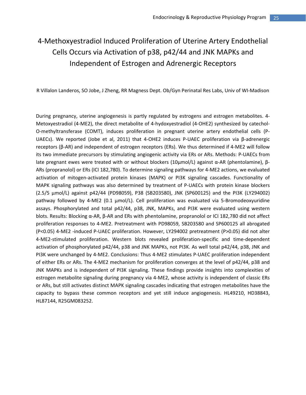# 4‐Methoxyestradiol Induced Proliferation of Uterine Artery Endothelial Cells Occurs via Activation of p38, p42/44 and JNK MAPKs and Independent of Estrogen and Adrenergic Receptors

R Villalon Landeros, SO Jobe, J Zheng, RR Magness Dept. Ob/Gyn Perinatal Res Labs, Univ of WI‐Madison

During pregnancy, uterine angiogenesis is partly regulated by estrogens and estrogen metabolites. 4‐ Metoxyestradiol (4‐ME2), the direct metabolite of 4‐hydoxyestradiol (4‐OHE2) synthesized by catechol‐ O‐methyltransferase (COMT), induces proliferation in pregnant uterine artery endothelial cells (P‐ UAECs). We reported (Jobe et al, 2011) that 4‐OHE2 induces P‐UAEC proliferation via β‐adrenergic receptors (β‐AR) and independent of estrogen receptors (ERs). We thus determined if 4‐ME2 will follow its two immediate precursors by stimulating angiogenic activity via ERs or ARs. Methods: P‐UAECs from late pregnant ewes were treated with or without blockers (10μmol/L) against α-AR (phentolamine), β-ARs (propranolol) or ERs (ICI 182,780). To determine signaling pathways for 4‐ME2 actions, we evaluated activation of mitogen‐activated protein kinases (MAPK) or PI3K signaling cascades. Functionality of MAPK signaling pathways was also determined by treatment of P‐UAECs with protein kinase blockers (2.5/5 µmol/L) against p42/44 (PD98059), P38 (SB203580), JNK (SP600125) and the PI3K (LY294002) pathway followed by 4‐ME2 (0.1 µmol/L). Cell proliferation was evaluated via 5‐Bromodeoxyuridine assays. Phosphorylated and total p42/44, p38, JNK, MAPKs, and PI3K were evaluated using western blots. Results: Blocking α‐AR, β‐AR and ERs with phentolamine, propranolol or ICI 182,780 did not affect proliferation responses to 4‐ME2. Pretreatment with PD98059, SB203580 and SP600125 all abrogated (P<0.05) 4‐ME2 ‐induced P‐UAEC proliferation. However, LY294002 pretreatment (P>0.05) did not alter 4‐ME2‐stimulated proliferation. Western blots revealed proliferation‐specific and time‐dependent activation of phosphorylated p42/44, p38 and JNK MAPKs, not PI3K. As well total p42/44, p38, JNK and PI3K were unchanged by 4‐ME2. Conclusions: Thus 4‐ME2 stimulates P‐UAEC proliferation independent of either ERs or ARs. The 4‐ME2 mechanism for proliferation converges at the level of p42/44, p38 and JNK MAPKs and is independent of PI3K signaling. These findings provide insights into complexities of estrogen metabolite signaling during pregnancy via 4‐ME2, whose activity is independent of classic ERs or ARs, but still activates distinct MAPK signaling cascades indicating that estrogen metabolites have the capacity to bypass these common receptors and yet still induce angiogenesis. HL49210, HD38843, HL87144, R25GM083252.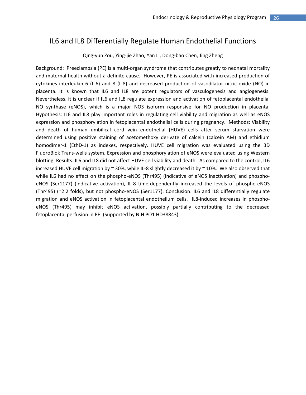### IL6 and IL8 Differentially Regulate Human Endothelial Functions

#### Qing‐yun Zou, Ying‐jie Zhao, Yan Li, Dong‐bao Chen, Jing Zheng

Background: Preeclampsia (PE) is a multi‐organ syndrome that contributes greatly to neonatal mortality and maternal health without a definite cause. However, PE is associated with increased production of cytokines interleukin 6 (IL6) and 8 (IL8) and decreased production of vasodilator nitric oxide (NO) in placenta. It is known that IL6 and IL8 are potent regulators of vasculogenesis and angiogenesis. Nevertheless, it is unclear if IL6 and IL8 regulate expression and activation of fetoplacental endothelial NO synthase (eNOS), which is a major NOS isoform responsive for NO production in placenta. Hypothesis: IL6 and IL8 play important roles in regulating cell viability and migration as well as eNOS expression and phosphorylation in fetoplacental endothelial cells during pregnancy. Methods: Viability and death of human umbilical cord vein endothelial (HUVE) cells after serum starvation were determined using positive staining of acetomethoxy derivate of calcein (calcein AM) and ethidium homodimer-1 (EthD-1) as indexes, respectively. HUVE cell migration was evaluated using the BD FluoroBlok Trans‐wells system. Expression and phosphorylation of eNOS were evaluated using Western blotting. Results: IL6 and IL8 did not affect HUVE cell viability and death. As compared to the control, IL6 increased HUVE cell migration by  $\sim$  30%, while IL-8 slightly decreased it by  $\sim$  10%. We also observed that while IL6 had no effect on the phospho-eNOS (Thr495) (indicative of eNOS inactivation) and phosphoeNOS (Ser1177) (indicative activation), IL-8 time-dependently increased the levels of phospho-eNOS (Thr495) (~2.2 folds), but not phospho‐eNOS (Ser1177). Conclusion: IL6 and IL8 differentially regulate migration and eNOS activation in fetoplacental endothelium cells. IL8-induced increases in phosphoeNOS (Thr495) may inhibit eNOS activation, possibly partially contributing to the decreased fetoplacental perfusion in PE. (Supported by NIH PO1 HD38843).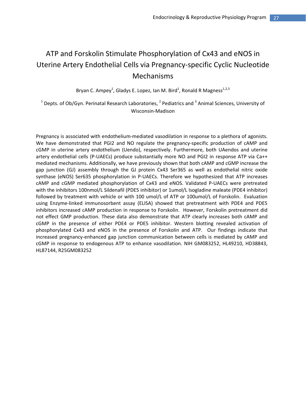# ATP and Forskolin Stimulate Phosphorylation of Cx43 and eNOS in Uterine Artery Endothelial Cells via Pregnancy‐specific Cyclic Nucleotide Mechanisms

Bryan C. Ampey<sup>1</sup>, Gladys E. Lopez, Ian M. Bird<sup>1</sup>, Ronald R Magness<sup>1,2,3</sup>

 $1$  Depts. of Ob/Gyn. Perinatal Research Laboratories,  $2$  Pediatrics and  $3$  Animal Sciences, University of Wisconsin‐Madison

Pregnancy is associated with endothelium‐mediated vasodilation in response to a plethora of agonists. We have demonstrated that PGI2 and NO regulate the pregnancy-specific production of cAMP and cGMP in uterine artery endothelium (Uendo), respectively. Furthermore, both UAendos and uterine artery endothelial cells (P-UAECs) produce substantially more NO and PGI2 in response ATP via Ca++ mediated mechanisms. Additionally, we have previously shown that both cAMP and cGMP increase the gap junction (GJ) assembly through the GJ protein Cx43 Ser365 as well as endothelial nitric oxide synthase (eNOS) Ser635 phosphorylation in P-UAECs. Therefore we hypothesized that ATP increases cAMP and cGMP mediated phosphorylation of Cx43 and eNOS. Validated P‐UAECs were pretreated with the inhibitors 100nmol/L Sildenafil (PDE5 inhibitor) or 1umol/L Isogladine maleate (PDE4 inhibitor) followed by treatment with vehicle or with 100 umol/L of ATP or 100umol/L of Forskolin. Evaluation using Enzyme-linked immunosorbent assay (ELISA) showed that pretreatment with PDE4 and PDE5 inhibitors increased cAMP production in response to Forskolin. However, Forskolin pretreatment did not effect GMP production. These data also demonstrate that ATP clearly increases both cAMP and cGMP in the presence of either PDE4 or PDE5 inhibitor. Western blotting revealed activation of phosphorylated Cx43 and eNOS in the presence of Forskolin and ATP. Our findings indicate that increased pregnancy-enhanced gap junction communication between cells is mediated by cAMP and cGMP in response to endogenous ATP to enhance vasodilation. NIH GM083252, HL49210, HD38843, HL87144, R25GM083252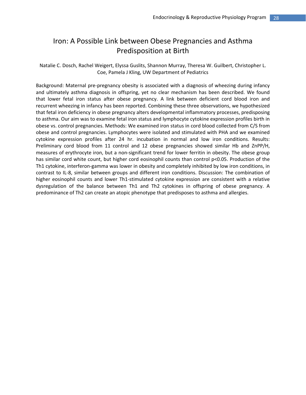### Iron: A Possible Link between Obese Pregnancies and Asthma Predisposition at Birth

Natalie C. Dosch, Rachel Weigert, Elyssa Guslits, Shannon Murray, Theresa W. Guilbert, Christopher L. Coe, Pamela J Kling, UW Department of Pediatrics

Background: Maternal pre‐pregnancy obesity is associated with a diagnosis of wheezing during infancy and ultimately asthma diagnosis in offspring, yet no clear mechanism has been described. We found that lower fetal iron status after obese pregnancy. A link between deficient cord blood iron and recurrent wheezing in infancy has been reported. Combining these three observations, we hypothesized that fetal iron deficiency in obese pregnancy alters developmental inflammatory processes, predisposing to asthma. Our aim was to examine fetal iron status and lymphocyte cytokine expression profiles birth in obese vs. control pregnancies. Methods: We examined iron status in cord blood collected from C/S from obese and control pregnancies. Lymphocytes were isolated and stimulated with PHA and we examined cytokine expression profiles after 24 hr. incubation in normal and low iron conditions. Results: Preliminary cord blood from 11 control and 12 obese pregnancies showed similar Hb and ZnPP/H, measures of erythrocyte iron, but a non‐significant trend for lower ferritin in obesity. The obese group has similar cord white count, but higher cord eosinophil counts than control p<0.05. Production of the Th1 cytokine, interferon‐gamma was lower in obesity and completely inhibited by low iron conditions, in contrast to IL‐8, similar between groups and different iron conditions. Discussion: The combination of higher eosinophil counts and lower Th1-stimulated cytokine expression are consistent with a relative dysregulation of the balance between Th1 and Th2 cytokines in offspring of obese pregnancy. A predominance of Th2 can create an atopic phenotype that predisposes to asthma and allergies.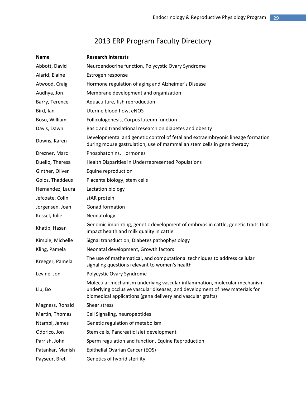# 2013 ERP Program Faculty Directory

| <b>Name</b>      | <b>Research Interests</b>                                                                                                                                                                                                |  |  |
|------------------|--------------------------------------------------------------------------------------------------------------------------------------------------------------------------------------------------------------------------|--|--|
| Abbott, David    | Neuroendocrine function, Polycystic Ovary Syndrome                                                                                                                                                                       |  |  |
| Alarid, Elaine   | Estrogen response                                                                                                                                                                                                        |  |  |
| Atwood, Craig    | Hormone regulation of aging and Alzheimer's Disease                                                                                                                                                                      |  |  |
| Audhya, Jon      | Membrane development and organization                                                                                                                                                                                    |  |  |
| Barry, Terence   | Aquaculture, fish reproduction                                                                                                                                                                                           |  |  |
| Bird, lan        | Uterine blood flow, eNOS                                                                                                                                                                                                 |  |  |
| Bosu, William    | Folliculogenesis, Corpus luteum function                                                                                                                                                                                 |  |  |
| Davis, Dawn      | Basic and translational research on diabetes and obesity                                                                                                                                                                 |  |  |
| Downs, Karen     | Developmental and genetic control of fetal and extraembryonic lineage formation<br>during mouse gastrulation, use of mammalian stem cells in gene therapy                                                                |  |  |
| Drezner, Marc    | Phosphatonins, Hormones                                                                                                                                                                                                  |  |  |
| Duello, Theresa  | Health Disparities in Underrepresented Populations                                                                                                                                                                       |  |  |
| Ginther, Oliver  | Equine reproduction                                                                                                                                                                                                      |  |  |
| Golos, Thaddeus  | Placenta biology, stem cells                                                                                                                                                                                             |  |  |
| Hernandez, Laura | Lactation biology                                                                                                                                                                                                        |  |  |
| Jefcoate, Colin  | stAR protein                                                                                                                                                                                                             |  |  |
| Jorgensen, Joan  | Gonad formation                                                                                                                                                                                                          |  |  |
| Kessel, Julie    | Neonatology                                                                                                                                                                                                              |  |  |
| Khatib, Hasan    | Genomic imprinting, genetic development of embryos in cattle, genetic traits that<br>impact health and milk quality in cattle.                                                                                           |  |  |
| Kimple, Michelle | Signal transduction, Diabetes pathophysiology                                                                                                                                                                            |  |  |
| Kling, Pamela    | Neonatal development, Growth factors                                                                                                                                                                                     |  |  |
| Kreeger, Pamela  | The use of mathematical, and computational techniques to address cellular<br>signaling questions relevant to women's health                                                                                              |  |  |
| Levine, Jon      | Polycystic Ovary Syndrome                                                                                                                                                                                                |  |  |
| Liu, Bo          | Molecular mechanism underlying vascular inflammation, molecular mechanism<br>underlying occlusive vascular diseases, and development of new materials for<br>biomedical applications (gene delivery and vascular grafts) |  |  |
| Magness, Ronald  | Shear stress                                                                                                                                                                                                             |  |  |
| Martin, Thomas   | Cell Signaling, neuropeptides                                                                                                                                                                                            |  |  |
| Ntambi, James    | Genetic regulation of metabolism                                                                                                                                                                                         |  |  |
| Odorico, Jon     | Stem cells, Pancreatic islet development                                                                                                                                                                                 |  |  |
| Parrish, John    | Sperm regulation and function, Equine Reproduction                                                                                                                                                                       |  |  |
| Patankar, Manish | Epithelial Ovarian Cancer (EOS)                                                                                                                                                                                          |  |  |
| Payseur, Bret    | Genetics of hybrid sterility                                                                                                                                                                                             |  |  |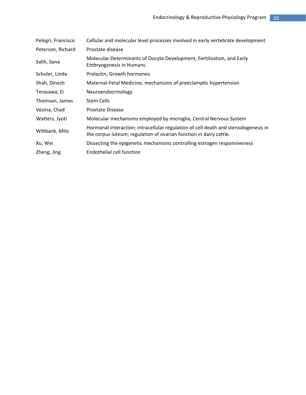| Pelegri, Francisco | Cellular and molecular level processes involved in early vertebrate development                                                                           |  |
|--------------------|-----------------------------------------------------------------------------------------------------------------------------------------------------------|--|
| Peterson, Richard  | Prostate disease                                                                                                                                          |  |
| Salih, Sana        | Molecular Determinants of Oocyte Development, Fertilization, and Early<br><b>Embryogenesis in Humans</b>                                                  |  |
| Schuler, Linda     | Prolactin, Growth hormones                                                                                                                                |  |
| Shah, Dinesh       | Maternal-Fetal Medicine, mechanisms of preeclamptic hypertension                                                                                          |  |
| Terasawa, Ei       | Neuroendocrinology                                                                                                                                        |  |
| Thomson, James     | <b>Stem Cells</b>                                                                                                                                         |  |
| Vezina, Chad       | <b>Prostate Disease</b>                                                                                                                                   |  |
| Watters, Jyoti     | Molecular mechanisms employed by microglia, Central Nervous System                                                                                        |  |
| Wiltbank, Milo     | Hormonal interaction; intracellular regulation of cell death and steroidogenesis in<br>the corpus luteum; regulation of ovarian function in dairy cattle. |  |
| Xu, Wei            | Dissecting the epigenetic mechanisms controlling estrogen responsiveness                                                                                  |  |
| Zheng, Jing        | Endothelial cell function                                                                                                                                 |  |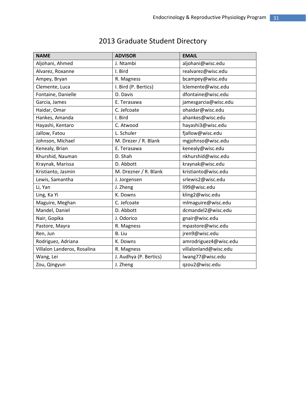| <b>NAME</b>                 | <b>ADVISOR</b>         | <b>EMAIL</b>          |
|-----------------------------|------------------------|-----------------------|
| Aljohani, Ahmed             | J. Ntambi              | aljohani@wisc.edu     |
| Alvarez, Roxanne            | I. Bird                | realvarez@wisc.edu    |
| Ampey, Bryan                | R. Magness             | bcampey@wisc.edu      |
| Clemente, Luca              | I. Bird (P. Bertics)   | lclemente@wisc.edu    |
| Fontaine, Danielle          | D. Davis               | dfontaine@wisc.edu    |
| Garcia, James               | E. Terasawa            | jamesgarcia@wisc.edu  |
| Haidar, Omar                | C. Jefcoate            | ohaidar@wisc.edu      |
| Hankes, Amanda              | I. Bird                | ahankes@wisc.edu      |
| Hayashi, Kentaro            | C. Atwood              | hayashi3@wisc.edu     |
| Jallow, Fatou               | L. Schuler             | fjallow@wisc.edu      |
| Johnson, Michael            | M. Drezer / R. Blank   | mgjohnso@wisc.edu     |
| Kenealy, Brian              | E. Terasawa            | kenealy@wisc.edu      |
| Khurshid, Nauman            | D. Shah                | nkhurshid@wisc.edu    |
| Kraynak, Marissa            | D. Abbott              | kraynak@wisc.edu      |
| Kristianto, Jasmin          | M. Drezner / R. Blank  | kristianto@wisc.edu   |
| Lewis, Samantha             | J. Jorgensen           | srlewis2@wisc.edu     |
| Li, Yan                     | J. Zheng               | li99@wisc.edu         |
| Ling, Ka Yi                 | K. Downs               | kling2@wisc.edu       |
| Maguire, Meghan             | C. Jefcoate            | mlmaguire@wisc.edu    |
| Mandel, Daniel              | D. Abbott              | dcmandel2@wisc.edu    |
| Nair, Gopika                | J. Odorico             | gnair@wisc.edu        |
| Pastore, Mayra              | R. Magness             | mpastore@wisc.edu     |
| Ren, Jun                    | B. Liu                 | jren9@wisc.edu        |
| Rodriguez, Adriana          | K. Downs               | amrodriguez4@wisc.edu |
| Villalon Landeros, Rosalina | R. Magness             | villalonland@wisc.edu |
| Wang, Lei                   | J. Audhya (P. Bertics) | lwang77@wisc.edu      |
| Zou, Qingyun                | J. Zheng               | qzou2@wisc.edu        |

# 2013 Graduate Student Directory